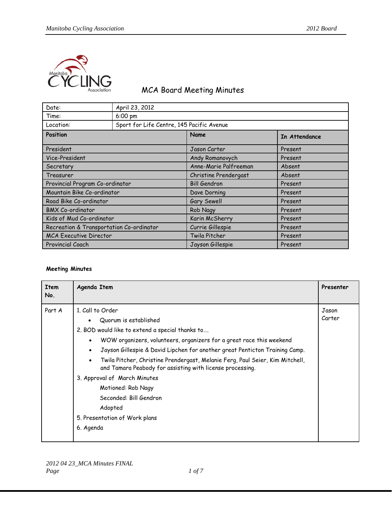

## MCA Board Meeting Minutes

| Date:                                    | April 23, 2012                            |                       |               |
|------------------------------------------|-------------------------------------------|-----------------------|---------------|
| Time:                                    | 6:00 pm                                   |                       |               |
| Location:                                | Sport for Life Centre, 145 Pacific Avenue |                       |               |
| Position                                 |                                           | Name                  | In Attendance |
| President                                |                                           | Jason Carter          | Present       |
| Vice-President                           |                                           | Andy Romanovych       | Present       |
| Secretary                                |                                           | Anne-Marie Palfreeman | Absent        |
| Treasurer                                |                                           | Christine Prendergast | Absent        |
| Provincial Program Co-ordinator          |                                           | <b>Bill Gendron</b>   | Present       |
| Mountain Bike Co-ordinator               |                                           | Dave Dorning          | Present       |
| Road Bike Co-ordinator                   |                                           | Gary Sewell           | Present       |
| <b>BMX Co-ordinator</b>                  |                                           | Rob Nagy              | Present       |
| Kids of Mud Co-ordinator                 |                                           | Karin McSherry        | Present       |
| Recreation & Transportation Co-ordinator |                                           | Currie Gillespie      | Present       |
| <b>MCA Executive Director</b>            |                                           | Twila Pitcher         | Present       |
| <b>Provincial Coach</b>                  |                                           | Jayson Gillespie      | Present       |

## **Meeting Minutes**

| Item<br>No. | Agenda Item                                                                                                                                                                                                                                                                                                                                                                                                                                                                                                                                                                       | Presenter       |
|-------------|-----------------------------------------------------------------------------------------------------------------------------------------------------------------------------------------------------------------------------------------------------------------------------------------------------------------------------------------------------------------------------------------------------------------------------------------------------------------------------------------------------------------------------------------------------------------------------------|-----------------|
| Part A      | 1. Call to Order<br>Quorum is established<br>2. BOD would like to extend a special thanks to<br>WOW organizers, volunteers, organizers for a great race this weekend<br>$\bullet$<br>Jayson Gillespie & David Lipchen for another great Penticton Training Camp.<br>$\bullet$<br>Twila Pitcher, Christine Prendergast, Melanie Ferg, Paul Seier, Kim Mitchell,<br>$\bullet$<br>and Tamara Peabody for assisting with license processing.<br>3. Approval of March Minutes<br>Motioned: Rob Nagy<br>Seconded: Bill Gendron<br>Adopted<br>5. Presentation of Work plans<br>6. Agenda | Jason<br>Carter |
|             |                                                                                                                                                                                                                                                                                                                                                                                                                                                                                                                                                                                   |                 |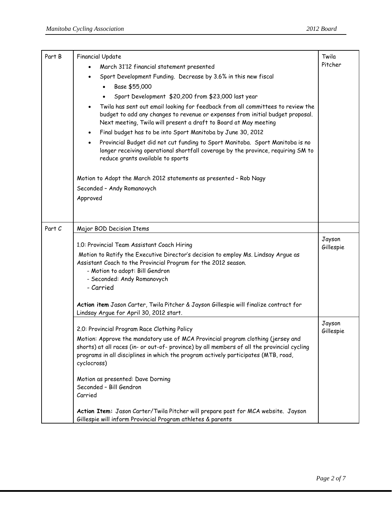| Part B | <b>Financial Update</b><br>March 31'12 financial statement presented<br>Sport Development Funding. Decrease by 3.6% in this new fiscal<br>$\bullet$<br>Base \$55,000<br>Sport Development \$20,200 from \$23,000 last year                                                                                                                                                                                                                                                                                                                                          | Twila<br>Pitcher    |
|--------|---------------------------------------------------------------------------------------------------------------------------------------------------------------------------------------------------------------------------------------------------------------------------------------------------------------------------------------------------------------------------------------------------------------------------------------------------------------------------------------------------------------------------------------------------------------------|---------------------|
|        | Twila has sent out email looking for feedback from all committees to review the<br>$\bullet$<br>budget to add any changes to revenue or expenses from initial budget proposal.<br>Next meeting, Twila will present a draft to Board at May meeting                                                                                                                                                                                                                                                                                                                  |                     |
|        | Final budget has to be into Sport Manitoba by June 30, 2012<br>$\bullet$<br>Provincial Budget did not cut funding to Sport Manitoba. Sport Manitoba is no<br>$\bullet$<br>longer receiving operational shortfall coverage by the province, requiring SM to<br>reduce grants available to sports                                                                                                                                                                                                                                                                     |                     |
|        | Motion to Adopt the March 2012 statements as presented - Rob Nagy<br>Seconded - Andy Romanovych<br>Approved                                                                                                                                                                                                                                                                                                                                                                                                                                                         |                     |
| Part C | Major BOD Decision Items                                                                                                                                                                                                                                                                                                                                                                                                                                                                                                                                            |                     |
|        | 1.0: Provincial Team Assistant Coach Hiring<br>Motion to Ratify the Executive Director's decision to employ Ms. Lindsay Argue as<br>Assistant Coach to the Provincial Program for the 2012 season.<br>- Motion to adopt: Bill Gendron<br>- Seconded: Andy Romanovych<br>- Carried<br>Action item Jason Carter, Twila Pitcher & Jayson Gillespie will finalize contract for<br>Lindsay Argue for April 30, 2012 start.                                                                                                                                               | Jayson<br>Gillespie |
|        | 2.0: Provincial Program Race Clothing Policy<br>Motion: Approve the mandatory use of MCA Provincial program clothing (jersey and<br>shorts) at all races (in- or out-of- province) by all members of all the provincial cycling<br>programs in all disciplines in which the program actively participates (MTB, road,<br>cyclocross)<br>Motion as presented: Dave Dorning<br>Seconded - Bill Gendron<br>Carried<br>Action Item: Jason Carter/Twila Pitcher will prepare post for MCA website. Jayson<br>Gillespie will inform Provincial Program athletes & parents | Jayson<br>Gillespie |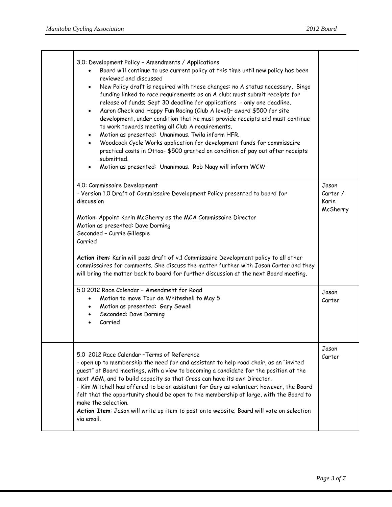| 3.0: Development Policy - Amendments / Applications<br>Board will continue to use current policy at this time until new policy has been<br>reviewed and discussed<br>• New Policy draft is required with these changes: no A status necessary, Bingo<br>funding linked to race requirements as an A club; must submit receipts for<br>release of funds; Sept 30 deadline for applications - only one deadline.<br>Aaron Check and Happy Fun Racing (Club A level)- award \$500 for site<br>$\bullet$<br>development, under condition that he must provide receipts and must continue<br>to work towards meeting all Club A requirements.<br>Motion as presented: Unanimous. Twila inform HFR.<br>$\bullet$<br>Woodcock Cycle Works application for development funds for commissaire<br>$\bullet$<br>practical costs in Ottaa- \$500 granted on condition of pay out after receipts<br>submitted.<br>Motion as presented: Unanimous. Rob Nagy will inform WCW |                                        |
|---------------------------------------------------------------------------------------------------------------------------------------------------------------------------------------------------------------------------------------------------------------------------------------------------------------------------------------------------------------------------------------------------------------------------------------------------------------------------------------------------------------------------------------------------------------------------------------------------------------------------------------------------------------------------------------------------------------------------------------------------------------------------------------------------------------------------------------------------------------------------------------------------------------------------------------------------------------|----------------------------------------|
| 4.0: Commissaire Development<br>- Version 1.0 Draft of Commissaire Development Policy presented to board for<br>discussion<br>Motion: Appoint Karin McSherry as the MCA Commissaire Director<br>Motion as presented: Dave Dorning<br>Seconded - Currie Gillespie<br>Carried<br>Action item: Karin will pass draft of v.1 Commissaire Development policy to all other<br>commissaires for comments. She discuss the matter further with Jason Carter and they<br>will bring the matter back to board for further discussion at the next Board meeting.                                                                                                                                                                                                                                                                                                                                                                                                         | Jason<br>Carter /<br>Karin<br>McSherry |
| 5.0 2012 Race Calendar - Amendment for Road<br>Motion to move Tour de Whiteshell to May 5<br>$\bullet$<br>Motion as presented: Gary Sewell<br>$\bullet$<br>Seconded: Dave Dorning<br>$\bullet$<br>Carried                                                                                                                                                                                                                                                                                                                                                                                                                                                                                                                                                                                                                                                                                                                                                     | Jason<br>Carter                        |
| 5.0 2012 Race Calendar - Terms of Reference<br>- open up to membership the need for and assistant to help road chair, as an "invited<br>guest" at Board meetings, with a view to becoming a candidate for the position at the<br>next AGM, and to build capacity so that Cross can have its own Director.<br>- Kim Mitchell has offered to be an assistant for Gary as volunteer; however, the Board<br>felt that the opportunity should be open to the membership at large, with the Board to<br>make the selection.<br>Action Item: Jason will write up item to post onto website; Board will vote on selection<br>via email.                                                                                                                                                                                                                                                                                                                               | Jason<br>Carter                        |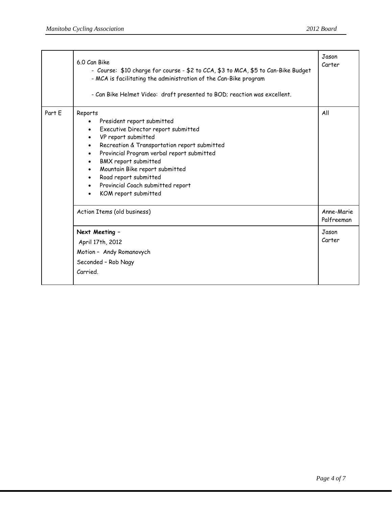|        | 6.0 Can Bike<br>- Course: \$10 charge for course - \$2 to CCA, \$3 to MCA, \$5 to Can-Bike Budget<br>- MCA is facilitating the administration of the Can-Bike program<br>- Can Bike Helmet Video: draft presented to BOD; reaction was excellent.                                                                                                                                                                                                                      | Jason<br>Carter                   |
|--------|------------------------------------------------------------------------------------------------------------------------------------------------------------------------------------------------------------------------------------------------------------------------------------------------------------------------------------------------------------------------------------------------------------------------------------------------------------------------|-----------------------------------|
| Part E | Reports<br>President report submitted<br>Executive Director report submitted<br>$\bullet$<br>VP report submitted<br>$\bullet$<br>Recreation & Transportation report submitted<br>$\bullet$<br>Provincial Program verbal report submitted<br>$\bullet$<br>BMX report submitted<br>$\bullet$<br>Mountain Bike report submitted<br>$\bullet$<br>Road report submitted<br>$\bullet$<br>Provincial Coach submitted report<br>$\bullet$<br>KOM report submitted<br>$\bullet$ | All                               |
|        | Action Items (old business)<br>Next Meeting -                                                                                                                                                                                                                                                                                                                                                                                                                          | Anne-Marie<br>Palfreeman<br>Jason |
|        | April 17th, 2012                                                                                                                                                                                                                                                                                                                                                                                                                                                       | Carter                            |
|        | Motion - Andy Romanovych                                                                                                                                                                                                                                                                                                                                                                                                                                               |                                   |
|        | Seconded - Rob Nagy                                                                                                                                                                                                                                                                                                                                                                                                                                                    |                                   |
|        | Carried                                                                                                                                                                                                                                                                                                                                                                                                                                                                |                                   |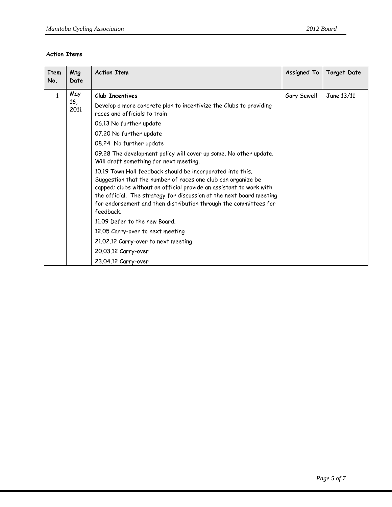## **Action Items**

| <b>Item</b><br>No. | Mtg<br>Date        | <b>Action Item</b>                                                                                                                                                                                                                                                                                                                                                                                  | <b>Assigned To</b> | <b>Target Date</b> |
|--------------------|--------------------|-----------------------------------------------------------------------------------------------------------------------------------------------------------------------------------------------------------------------------------------------------------------------------------------------------------------------------------------------------------------------------------------------------|--------------------|--------------------|
| $\mathbf{1}$       | May<br>16,<br>2011 | Club Incentives<br>Develop a more concrete plan to incentivize the Clubs to providing<br>races and officials to train<br>06.13 No further update<br>07.20 No further update<br>08.24 No further update<br>09.28 The development policy will cover up some. No other update.                                                                                                                         | Gary Sewell        | June 13/11         |
|                    |                    | Will draft something for next meeting.<br>10.19 Town Hall feedback should be incorporated into this.<br>Suggestion that the number of races one club can organize be<br>capped; clubs without an official provide an assistant to work with<br>the official. The strategy for discussion at the next board meeting<br>for endorsement and then distribution through the committees for<br>feedback. |                    |                    |
|                    |                    | 11.09 Defer to the new Board.<br>12.05 Carry-over to next meeting<br>21.02.12 Carry-over to next meeting<br>20.03.12 Carry-over<br>23.04.12 Carry-over                                                                                                                                                                                                                                              |                    |                    |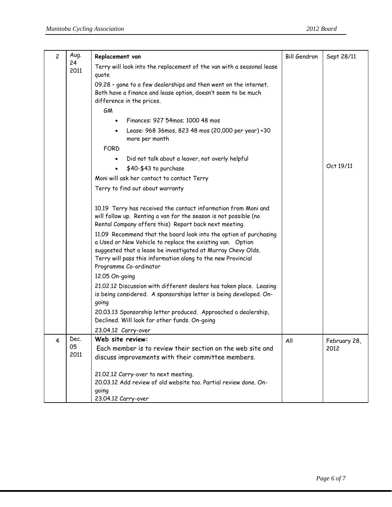| $\overline{c}$ | Aug.       | Replacement van                                                                                                                                                                                                                                                                                                                                                                                                                                                                                                                                                                                                                                                                                                                                                                    | <b>Bill Gendron</b> | Sept 28/11           |
|----------------|------------|------------------------------------------------------------------------------------------------------------------------------------------------------------------------------------------------------------------------------------------------------------------------------------------------------------------------------------------------------------------------------------------------------------------------------------------------------------------------------------------------------------------------------------------------------------------------------------------------------------------------------------------------------------------------------------------------------------------------------------------------------------------------------------|---------------------|----------------------|
|                | 24<br>2011 | Terry will look into the replacement of the van with a seasonal lease<br>quote                                                                                                                                                                                                                                                                                                                                                                                                                                                                                                                                                                                                                                                                                                     |                     |                      |
|                |            | 09.28 - gone to a few dealerships and then went on the internet.<br>Both have a finance and lease option, doesn't seem to be much<br>difference in the prices.                                                                                                                                                                                                                                                                                                                                                                                                                                                                                                                                                                                                                     |                     |                      |
|                |            | GM                                                                                                                                                                                                                                                                                                                                                                                                                                                                                                                                                                                                                                                                                                                                                                                 |                     |                      |
|                |            | Finances: 927 54mos; 1000 48 mos<br>$\bullet$                                                                                                                                                                                                                                                                                                                                                                                                                                                                                                                                                                                                                                                                                                                                      |                     |                      |
|                |            | Lease: 968 36mos, 823 48 mos (20,000 per year) +30<br>$\bullet$<br>more per month                                                                                                                                                                                                                                                                                                                                                                                                                                                                                                                                                                                                                                                                                                  |                     |                      |
|                |            | FORD                                                                                                                                                                                                                                                                                                                                                                                                                                                                                                                                                                                                                                                                                                                                                                               |                     |                      |
|                |            | Did not talk about a leaver, not overly helpful<br>$\bullet$                                                                                                                                                                                                                                                                                                                                                                                                                                                                                                                                                                                                                                                                                                                       |                     |                      |
|                |            | \$40-\$43 to purchase<br>$\bullet$                                                                                                                                                                                                                                                                                                                                                                                                                                                                                                                                                                                                                                                                                                                                                 |                     | Oct 19/11            |
|                |            | Moni will ask her contact to contact Terry                                                                                                                                                                                                                                                                                                                                                                                                                                                                                                                                                                                                                                                                                                                                         |                     |                      |
|                |            | Terry to find out about warranty                                                                                                                                                                                                                                                                                                                                                                                                                                                                                                                                                                                                                                                                                                                                                   |                     |                      |
|                |            | 10.19 Terry has received the contact information from Moni and<br>will follow up. Renting a van for the season is not possible (no<br>Rental Company offers this) Report back next meeting.<br>11.09 Recommend that the board look into the option of purchasing<br>a Used or New Vehicle to replace the existing van. Option<br>suggested that a lease be investigated at Murray Chevy Olds.<br>Terry will pass this information along to the new Provincial<br>Programme Co-ordinator<br>12.05 On-going<br>21.02.12 Discussion with different dealers has taken place. Leasing<br>is being considered. A sponsorships letter is being developed. On-<br>going<br>20.03.13 Sponsorship letter produced. Approached a dealership,<br>Declined. Will look for other funds. On-going |                     |                      |
| 4              | Dec.<br>05 | 23.04.12 Carry-over<br>Web site review:<br>Each member is to review their section on the web site and                                                                                                                                                                                                                                                                                                                                                                                                                                                                                                                                                                                                                                                                              | All                 | February 28,<br>2012 |
|                | 2011       | discuss improvements with their committee members.                                                                                                                                                                                                                                                                                                                                                                                                                                                                                                                                                                                                                                                                                                                                 |                     |                      |
|                |            | 21.02.12 Carry-over to next meeting.<br>20.03.12 Add review of old website too. Partial review done. On-<br>going<br>23.04.12 Carry-over                                                                                                                                                                                                                                                                                                                                                                                                                                                                                                                                                                                                                                           |                     |                      |